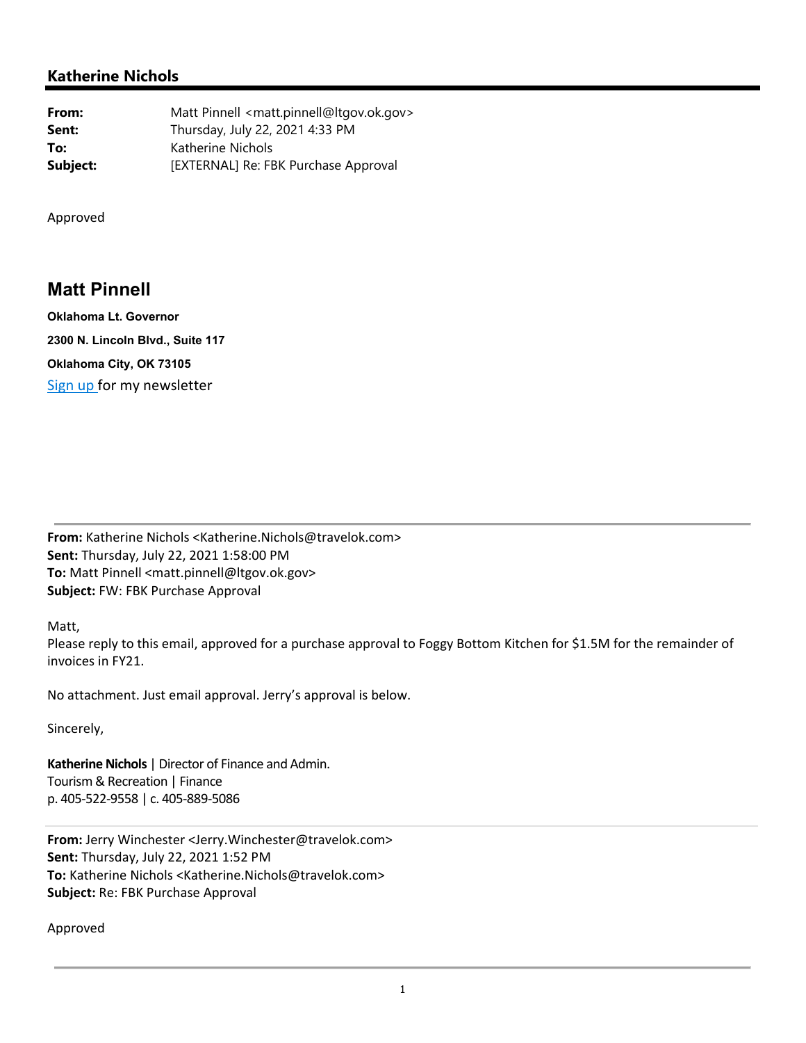## **Katherine Nichols**

**From:** Matt Pinnell <matt.pinnell@ltgov.ok.gov> **Sent:** Thursday, July 22, 2021 4:33 PM **To:** Katherine Nichols **Subject:** [EXTERNAL] Re: FBK Purchase Approval

Approved

## **Matt Pinnell**

**Oklahoma Lt. Governor 2300 N. Lincoln Blvd., Suite 117 Oklahoma City, OK 73105** Sign up for my newsletter

**From:** Katherine Nichols <Katherine.Nichols@travelok.com> **Sent:** Thursday, July 22, 2021 1:58:00 PM **To:** Matt Pinnell <matt.pinnell@ltgov.ok.gov> **Subject:** FW: FBK Purchase Approval

Matt,

Please reply to this email, approved for a purchase approval to Foggy Bottom Kitchen for \$1.5M for the remainder of invoices in FY21.

No attachment. Just email approval. Jerry's approval is below.

Sincerely,

**Katherine Nichols** | Director of Finance and Admin. Tourism & Recreation | Finance p. 405‐522‐9558 | c. 405‐889‐5086

**From:** Jerry Winchester <Jerry.Winchester@travelok.com> **Sent:** Thursday, July 22, 2021 1:52 PM **To:** Katherine Nichols <Katherine.Nichols@travelok.com> **Subject:** Re: FBK Purchase Approval

Approved